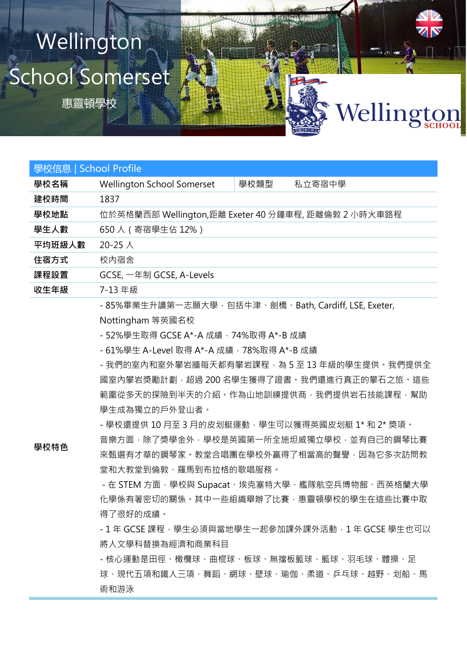## School Somerset **Wellington**

惠靈頓學校

| 學校信息   School Profile |                                                      |      |        |
|-----------------------|------------------------------------------------------|------|--------|
| 學校名稱                  | <b>Wellington School Somerset</b>                    | 學校類型 | 私立寄宿中學 |
| 建校時間                  | 1837                                                 |      |        |
| 學校地點                  | 位於英格蘭西部 Wellington,距離 Exeter 40 分鐘車程, 距離倫敦 2 小時火車路程  |      |        |
| 學生人數                  | 650人 (寄宿學生佔 12%)                                     |      |        |
| 平均班級人數                | 20-25 $\lambda$                                      |      |        |
| 住宿方式                  | 校内宿舍                                                 |      |        |
| 課程設置                  | GCSE, 一年制 GCSE, A-Levels                             |      |        |
| 收生年級                  | 7-13 年級                                              |      |        |
|                       | - 85%畢業生升讀第一志願大學,包括牛津、劍橋、Bath, Cardiff, LSE, Exeter, |      |        |

Wellington

Nottingham 等英國名校

- 52%學生取得 GCSE A\*-A 成績, 74%取得 A\*-B 成績

- 61%學生 A-Level 取得 A\*-A 成績,78%取得 A\*-B 成績

- 我們的室內和室外攀岩牆每天都有攀岩課程,為 5 至 13 年級的學生提供。我們提供全 國室內攀岩獎勵計劃,超過 200 名學生獲得了證書。我們還進行真正的攀石之旅。這些 範圍從多天的探險到半天的介紹。作為山地訓練提供商,我們提供岩石技能課程,幫助 學生成為獨立的戶外登山者。

- 學校還提供 10 月至 3 月的皮划艇運動, 學生可以獲得英國皮划艇 1\* 和 2\* 獎項。

**學校特色**

音樂方面,除了獎學金外,學校是英國第一所全施坦威獨立學校,並有自己的鋼琴比賽 來甄選有才華的鋼琴家。教堂合唱團在學校外贏得了相當高的聲譽,因為它多次訪問教 堂和大教堂到倫敦、羅馬到布拉格的歌唱服務。

- 在 STEM 方面, 學校與 Supacat、埃克塞特大學、艦隊航空兵博物館、西英格蘭大學 化學係有著密切的關係。其中一些組織舉辦了比賽,惠靈頓學校的學生在這些比賽中取 得了很好的成績。

- 1 年 GCSE 課程, 學生必須與當地學生一起參加課外課外活動, 1 年 GCSE 學生也可以 將人文學科替換為經濟和商業科目

- 核心運動是田徑、橄欖球、曲棍球、板球、無擋板籃球、籃球、羽毛球、體操、足 球、現代五項和鐵人三項、舞蹈、網球、壁球、瑜伽、柔道、乒乓球、越野、划船、馬 術和游泳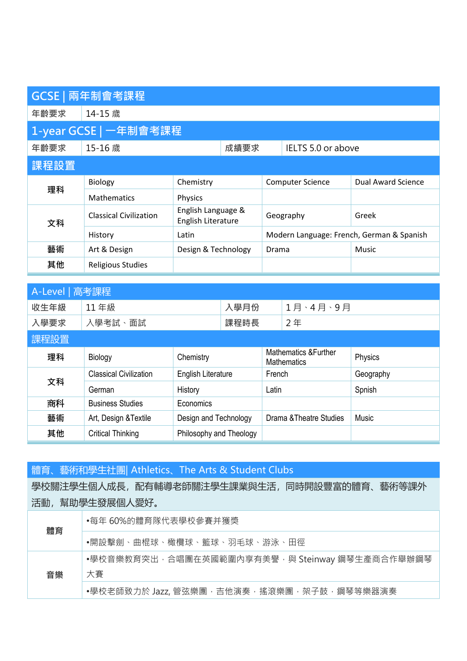|                       | GCSE   兩年制會考課程                |                                          |      |                                           |                    |                    |
|-----------------------|-------------------------------|------------------------------------------|------|-------------------------------------------|--------------------|--------------------|
| 年齢要求                  | 14-15 歳                       |                                          |      |                                           |                    |                    |
| 1-year GCSE   一年制會考課程 |                               |                                          |      |                                           |                    |                    |
| 年齡要求                  | 15-16 歳                       |                                          | 成績要求 |                                           | IELTS 5.0 or above |                    |
| 課程設置                  |                               |                                          |      |                                           |                    |                    |
| 理科                    | <b>Biology</b>                | Chemistry                                |      | <b>Computer Science</b>                   |                    | Dual Award Science |
|                       | <b>Mathematics</b>            | <b>Physics</b>                           |      |                                           |                    |                    |
| 文科                    | <b>Classical Civilization</b> | English Language &<br>English Literature |      | Geography                                 |                    | Greek              |
|                       | History                       | Latin                                    |      | Modern Language: French, German & Spanish |                    |                    |
| 藝術                    | Art & Design                  | Design & Technology                      |      | Drama                                     |                    | Music              |
| 其他                    | <b>Religious Studies</b>      |                                          |      |                                           |                    |                    |

| A-Level   高考課程 |                               |                           |      |                                                        |          |           |
|----------------|-------------------------------|---------------------------|------|--------------------------------------------------------|----------|-----------|
| 收生年級           | 11年級                          |                           | 入學月份 |                                                        | 1月、4月、9月 |           |
| 入學要求           | 入學考試、面試                       |                           | 課程時長 |                                                        | 2年       |           |
| 課程設置           |                               |                           |      |                                                        |          |           |
| 理科             | Biology                       | Chemistry                 |      | <b>Mathematics &amp; Further</b><br><b>Mathematics</b> |          | Physics   |
| 文科             | <b>Classical Civilization</b> | <b>English Literature</b> |      | French                                                 |          | Geography |
|                | German                        | History                   |      | Latin                                                  |          | Spnish    |
| 商科             | <b>Business Studies</b>       | Economics                 |      |                                                        |          |           |
| 藝術             | Art, Design & Textile         | Design and Technology     |      | Drama & Theatre Studies                                |          | Music     |
| 其他             | <b>Critical Thinking</b>      | Philosophy and Theology   |      |                                                        |          |           |

體育、藝術和學生社團| Athletics、The Arts & Student Clubs

學校關注學生個人成長,配有輔導老師關注學生課業與生活,同時開設豐富的體育、藝術等課外 活動,幫助學生發展個人愛好。

| 體育 | •每年 60%的體育隊代表學校參賽并獲獎                           |  |  |  |  |
|----|------------------------------------------------|--|--|--|--|
|    | •開設擊劍、曲棍球、橄欖球、籃球、羽毛球、游泳、田徑                     |  |  |  |  |
| 音樂 | •學校音樂教育突出,合唱團在英國範圍內享有美譽,與 Steinway 鋼琴生產商合作舉辦鋼琴 |  |  |  |  |
|    | 大賽                                             |  |  |  |  |
|    | •學校老師致力於 Jazz, 管弦樂團, 吉他演奏, 搖滾樂團, 架子鼓, 鋼琴等樂器演奏  |  |  |  |  |